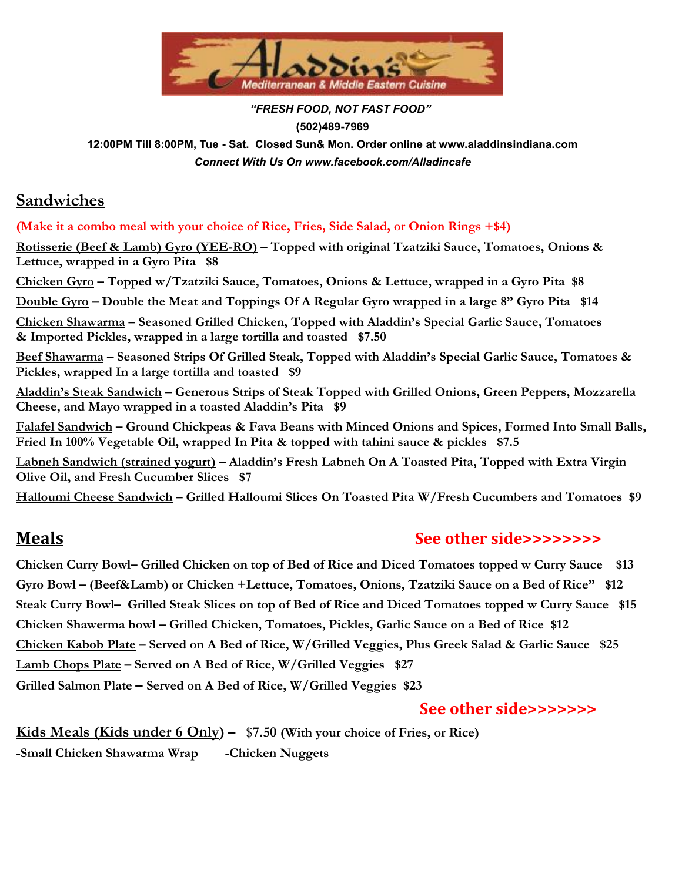

 *"FRESH FOOD, NOT FAST FOOD"* **(502)489-7969 12:00PM Till 8:00PM, Tue - Sat. Closed Sun& Mon. Order online at www.aladdinsindiana.com** *Connect With Us On [www.facebook.com/Alladincafe](http://www.facebook.com/Alladincafe)* 

## **Sandwiches**

**(Make it a combo meal with your choice of Rice, Fries, Side Salad, or Onion Rings +\$4)**

**Rotisserie (Beef & Lamb) Gyro (YEE-RO) – Topped with original Tzatziki Sauce, Tomatoes, Onions & Lettuce, wrapped in a Gyro Pita \$8**

**Chicken Gyro – Topped w/Tzatziki Sauce, Tomatoes, Onions & Lettuce, wrapped in a Gyro Pita \$8**

<u>Double Gyro</u> – Double the Meat and Toppings Of A Regular Gyro wrapped in a large 8" Gyro Pita \$14

**Chicken Shawarma – Seasoned Grilled Chicken, Topped with Aladdin's Special Garlic Sauce, Tomatoes & Imported Pickles, wrapped in a large tortilla and toasted \$7.50**

**Beef Shawarma – Seasoned Strips Of Grilled Steak, Topped with Aladdin's Special Garlic Sauce, Tomatoes & Pickles, wrapped In a large tortilla and toasted \$9**

**Aladdin's Steak Sandwich – Generous Strips of Steak Topped with Grilled Onions, Green Peppers, Mozzarella Cheese, and Mayo wrapped in a toasted Aladdin's Pita \$9**

**Falafel Sandwich – Ground Chickpeas & Fava Beans with Minced Onions and Spices, Formed Into Small Balls, Fried In 100% Vegetable Oil, wrapped In Pita & topped with tahini sauce & pickles \$7.5**

**Labneh Sandwich (strained yogurt) – Aladdin's Fresh Labneh On A Toasted Pita, Topped with Extra Virgin Olive Oil, and Fresh Cucumber Slices \$7**

**Halloumi Cheese Sandwich – Grilled Halloumi Slices On Toasted Pita W/Fresh Cucumbers and Tomatoes \$9**

## **Meals See other side>>>>>>>>**

Chicken Curry Bowl- Grilled Chicken on top of Bed of Rice and Diced Tomatoes topped w Curry Sauce \$13 **Gyro Bowl – (Beef&Lamb) or Chicken +Lettuce, Tomatoes, Onions, Tzatziki Sauce on a Bed of Rice" \$12** Steak Curry Bowl- Grilled Steak Slices on top of Bed of Rice and Diced Tomatoes topped w Curry Sauce \$15 **Chicken Shawerma bowl – Grilled Chicken, Tomatoes, Pickles, Garlic Sauce on a Bed of Rice \$12** Chicken Kabob Plate - Served on A Bed of Rice, W/Grilled Veggies, Plus Greek Salad & Garlic Sauce \$25 **Lamb Chops Plate – Served on A Bed of Rice, W/Grilled Veggies \$27 Grilled Salmon Plate – Served on A Bed of Rice, W/Grilled Veggies \$23**

## **See other side>>>>>>>**

**Kids Meals (Kids under 6 Only) –** \$**7.50 (With your choice of Fries, or Rice) -Small Chicken Shawarma Wrap -Chicken Nuggets**